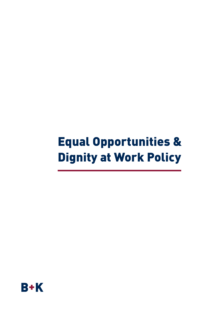# Equal Opportunities & Dignity at Work Policy

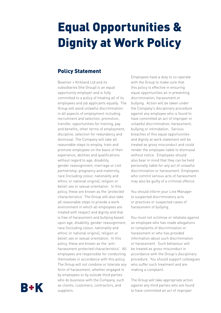## Equal Opportunities & Dignity at Work Policy

### Policy Statement

Bowmer + Kirkland Ltd and its subsidiaries (the Group) is an equal opportunity employer and is fully committed to a policy of treating all of its employees and job applicants equally. The Group will avoid unlawful discrimination in all aspects of employment including recruitment and selection, promotion, transfer, opportunities for training, pay and benefits, other terms of employment, discipline, selection for redundancy and dismissal. The Company will take all reasonable steps to employ, train and promote employees on the basis of their experience, abilities and qualifications without regard to age, disability, gender reassignment, marriage or civil partnership, pregnancy and maternity, race (including colour, nationality and ethnic or national origins), religion or belief, sex or sexual orientation. In this policy, these are known as the 'protected characteristics'. The Group will also take all reasonable steps to provide a work environment in which all employees are treated with respect and dignity and that is free of harassment and bullying based upon age, disability, gender reassignment, race (including colour, nationality and ethnic or national origins), religion or belief, sex or sexual orientation. In this policy, these are known as the 'antiharassment protected characteristics'. All employees are responsible for conducting themselves in accordance with this policy. The Group will not condone or tolerate any form of harassment, whether engaged in by employees or by outside third parties who do business with the Company, such as clients, customers, contractors, and suppliers.

Employees have a duty to co-operate with the Group to make sure that this policy is effective in ensuring equal opportunities an in preventing discrimination, harassment or bullying. Action will be taken under the Company's disciplinary procedure against any employee who is found to have committed an act of improper or unlawful discrimination, harassment, bullying or intimidation. Serious breaches of this equal opportunities and dignity at work statement will be treated as gross misconduct and could render the employee liable to dismissal without notice. Employees should also bear in mind that they can be held personally liable for any act of unlawful discrimination or harassment. Employees who commit serious acts of harassment may also be guilty of a criminal offence.

You should inform your Line Manager to suspected discriminatory acts or practices or suspected cases of harassment of bullying.

You must not victimise or retaliate against an employee who has made allegations or complaints of discrimination or harassment or who has provided information about such discrimination or harassment. Such behaviour will be treated as gross misconduct in accordance with the Group's disciplinary procedure. You should support colleagues who suffer such treatment and are making a complaint.

The Group will take appropriate action against any third parties who are found to have committed an act of improper

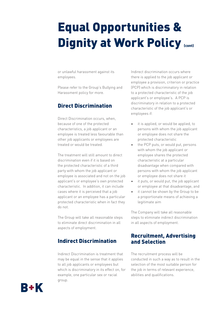# Equal Opportunities & Dignity at Work Policy (cont)

or unlawful harassment against its employees.

Please refer to the Group's Bullying and Harassment policy for more.

## Direct Discrimination

Direct Discrimination occurs, when, because of one of the protected characteristics, a job applicant or an employee is treated less favourable than other job applicants or employees are treated or would be treated.

The treatment will still amount to direct discrimination even if it is based on the protected characteristic of a third party with whom the job applicant or employee is associated and not on the job applicant's or employee's own protected characteristic. In addition, it can include cases where it is perceived that a job applicant or an employee has a particular protected characteristic when in fact they do not.

The Group will take all reasonable steps to eliminate direct discrimination in all aspects of employment.

### Indirect Discrimination

Indirect Discrimination is treatment that may be equal in the sense that it applies to all job applicants or employees but which is discriminatory in its effect on, for example, one particular sex or racial group.

Indirect discrimination occurs where there is applied to the job applicant or employee a provision, criterion or practice (PCP) which is discriminatory in relation to a protected characteristic of the job applicant's or employee's. A PCP is discriminatory in relation to a protected characteristic of the job applicant's or employees if:

- it is applied, or would be applied, to persons with whom the job applicant or employee does not share the protected characteristic
- the PCP puts, or would put, persons with whom the job applicant or employee shares the protected characteristic at a particular disadvantage when compared with persons with whom the job applicant or employee does not share it
- it puts, or would put, the job applicant or employee at that disadvantage, and
- it cannot be shown by the Group to be a proportionate means of achieving a legitimate aim

The Company will take all reasonable steps to eliminate indirect discrimination in all aspects of employment.

### Recruitment, Advertising and Selection

The recruitment process will be conducted in such a way as to result in the selection of the most suitable person for the job in terms of relevant experience, abilities and qualifications.

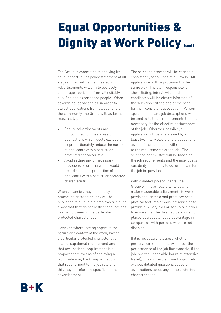## Equal Opportunities & Dignity at Work Policy (cont)

The Group is committed to applying its equal opportunities policy statement at all stages of recruitment and selection. Advertisements will aim to positively encourage applicants from all suitably qualified and experienced people. When advertising job vacancies, in order to attract applications from all sections of the community, the Group will, as far as reasonably practicable:

- Ensure advertisements are not confined to those areas or publications which would exclude or disproportionately reduce the number of applicants with a particular protected characteristic
- Avoid setting any unnecessary provisions or criteria which would exclude a higher proportion of applicants with a particular protected characteristic

When vacancies may be filled by promotion or transfer, they will be published to all eligible employees in such a way that they do not restrict applications from employees with a particular protected characteristic.

However, where, having regard to the nature and context of the work, having a particular protected characteristic is an occupational requirement and that occupational requirement is a proportionate means of achieving a legitimate aim, the Group will apply that requirement to the job role and this may therefore be specified in the advertisement.

The selection process will be carried out consistently for all jobs at all levels. All applications will be processed in the same way. The staff responsible for short-listing, interviewing and selecting candidates will be clearly informed of the selection criteria and of the need for their consistent application. Person specifications and job descriptions will be limited to those requirements that are necessary for the effective performance of the job. Wherever possible, all applicants will be interviewed by at least two interviewers and all questions asked of the applicants will relate to the requirements of the job. The selection of new staff will be based on the job requirements and the individual's suitability and ability to do, or to train for, the job in question.

With disabled job applicants, the Group will have regard to its duty to make reasonable adjustments to work provisions, criteria and practices or to physical features of work premises or to provide auxiliary aids or services in order to ensure that the disabled person is not placed at a substantial disadvantage in comparison with persons who are not disabled.

If it is necessary to assess whether personal circumstances will affect the performance of the job (for example, if the job involves unsociable hours of extensive travel), this will be discussed objectively, without detailed questions based on assumptions about any of the protected characteristics.